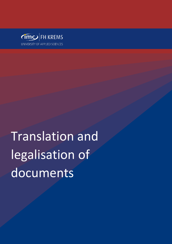

# Translation and legalisation of documents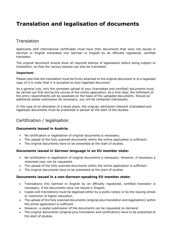## **Translation and legalisation of documents**

## **Translation**

Applicants with international certificates must have their documents that were not issued in German or English translated into German or English by an officially registered, certified translator.

The original document should show all required stamps of legalisation before being subject to translation, so that the various stamps can also be translated.

#### **Important:**

Please note that the translation must be firmly attached to the original document or to a legalised copy of it in order that it is accepted as duly legalised document.

As a general rule, only the complete upload of your (translated and certified) documents must be carried out first during the course of the online application. As a first step, the fulfilment of the entry requirements will be assessed on the basis of the uploaded documents. Should an additional postal submission be necessary, you will be contacted individually.

In the case of an allocation of a study place, the original, admission-relevant (translated and legalised) documents must be presented in person at the start of the studies.

## Certification / legalisation

## **Documents issued in Austria:**

- No certification or legalisation of original documents is necessary.
- The upload of the fully scanned documents within the online application is sufficient.
- The original documents have to be presented at the start of studies.

## **Documents issued in German language in an EU member state:**

- No certification or legalisation of original documents is necessary. However, if necessary a notarised copy can be requested.
- The upload of the fully scanned documents within the online application is sufficient.
- The original documents have to be presented at the start of studies.

## **Documents issued in a non-German-speaking EU member state:**

- Translations into German or English by an officially registered, certified translator is necessary, if the documents were not issued in English.
- Copies and translations must be legalised either by a public notary or by the issuing school or institution of higher education.
- The upload of the fully scanned documents (original plus translation and legalisation) within the online application is sufficient.
- However, a postal submission of the documents can be requested on demand.
- The original documents (original plus translation and certification) have to be presented at the start of studies.